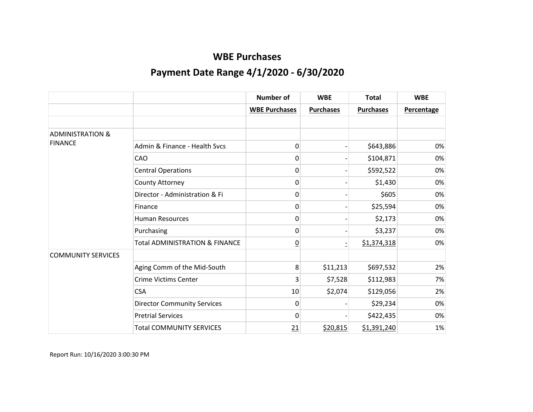|                             |                                           | <b>Number of</b>     | <b>WBE</b>       | <b>Total</b>     | <b>WBE</b>        |
|-----------------------------|-------------------------------------------|----------------------|------------------|------------------|-------------------|
|                             |                                           | <b>WBE Purchases</b> | <b>Purchases</b> | <b>Purchases</b> | <b>Percentage</b> |
|                             |                                           |                      |                  |                  |                   |
| <b>ADMINISTRATION &amp;</b> |                                           |                      |                  |                  |                   |
| <b>FINANCE</b>              | Admin & Finance - Health Sycs             | 0                    |                  | \$643,886        | 0%                |
|                             | CAO                                       | 0                    |                  | \$104,871        | 0%                |
|                             | <b>Central Operations</b>                 | 0                    |                  | \$592,522        | 0%                |
|                             | County Attorney                           | 0                    |                  | \$1,430          | 0%                |
|                             | Director - Administration & Fi            | 0                    |                  | \$605            | 0%                |
|                             | Finance                                   | 0                    |                  | \$25,594         | 0%                |
|                             | <b>Human Resources</b>                    | 0                    |                  | \$2,173          | 0%                |
|                             | Purchasing                                | 0                    |                  | \$3,237          | 0%                |
|                             | <b>Total ADMINISTRATION &amp; FINANCE</b> | $\overline{0}$       |                  | \$1,374,318      | 0%                |
| <b>COMMUNITY SERVICES</b>   |                                           |                      |                  |                  |                   |
|                             | Aging Comm of the Mid-South               | 8                    | \$11,213         | \$697,532        | 2%                |
|                             | <b>Crime Victims Center</b>               | 3                    | \$7,528          | \$112,983        | 7%                |
|                             | <b>CSA</b>                                | 10                   | \$2,074          | \$129,056        | 2%                |
|                             | <b>Director Community Services</b>        | 0                    |                  | \$29,234         | 0%                |
|                             | <b>Pretrial Services</b>                  | 0                    |                  | \$422,435        | 0%                |
|                             | <b>Total COMMUNITY SERVICES</b>           | 21                   | \$20,815         | \$1,391,240      | 1%                |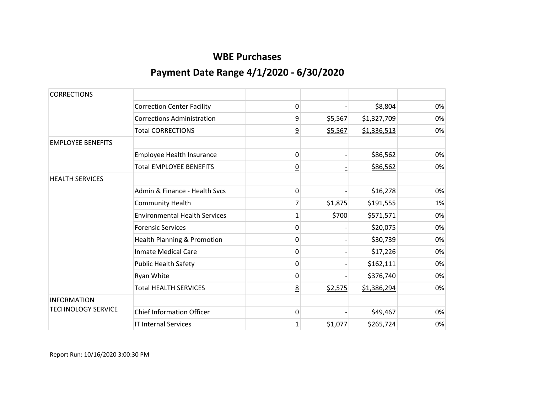| <b>CORRECTIONS</b>        |                                      |                |         |             |    |
|---------------------------|--------------------------------------|----------------|---------|-------------|----|
|                           | <b>Correction Center Facility</b>    | 0              |         | \$8,804     | 0% |
|                           | <b>Corrections Administration</b>    | 9              | \$5,567 | \$1,327,709 | 0% |
|                           | <b>Total CORRECTIONS</b>             | $\overline{9}$ | \$5,567 | \$1,336,513 | 0% |
| <b>EMPLOYEE BENEFITS</b>  |                                      |                |         |             |    |
|                           | Employee Health Insurance            | 0              |         | \$86,562    | 0% |
|                           | <b>Total EMPLOYEE BENEFITS</b>       | $\overline{0}$ |         | \$86,562    | 0% |
| <b>HEALTH SERVICES</b>    |                                      |                |         |             |    |
|                           | Admin & Finance - Health Sycs        | 0              |         | \$16,278    | 0% |
|                           | <b>Community Health</b>              | 7              | \$1,875 | \$191,555   | 1% |
|                           | <b>Environmental Health Services</b> | 1              | \$700   | \$571,571   | 0% |
|                           | <b>Forensic Services</b>             | $\mathbf{0}$   |         | \$20,075    | 0% |
|                           | Health Planning & Promotion          | 0              |         | \$30,739    | 0% |
|                           | <b>Inmate Medical Care</b>           | 0              |         | \$17,226    | 0% |
|                           | <b>Public Health Safety</b>          | 0              |         | \$162,111   | 0% |
|                           | Ryan White                           | 0              |         | \$376,740   | 0% |
|                           | <b>Total HEALTH SERVICES</b>         | 8              | \$2,575 | \$1,386,294 | 0% |
| <b>INFORMATION</b>        |                                      |                |         |             |    |
| <b>TECHNOLOGY SERVICE</b> | <b>Chief Information Officer</b>     | $\mathbf{0}$   |         | \$49,467    | 0% |
|                           | <b>IT Internal Services</b>          | 1              | \$1,077 | \$265,724   | 0% |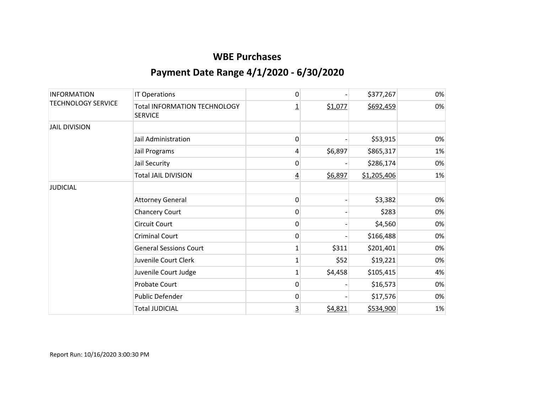| <b>INFORMATION</b><br><b>TECHNOLOGY SERVICE</b> | IT Operations                                         | 0              |         | \$377,267   | 0% |
|-------------------------------------------------|-------------------------------------------------------|----------------|---------|-------------|----|
|                                                 | <b>Total INFORMATION TECHNOLOGY</b><br><b>SERVICE</b> | <u>1</u>       | \$1,077 | \$692,459   | 0% |
| <b>JAIL DIVISION</b>                            |                                                       |                |         |             |    |
|                                                 | Jail Administration                                   | 0              |         | \$53,915    | 0% |
|                                                 | Jail Programs                                         | 4              | \$6,897 | \$865,317   | 1% |
|                                                 | Jail Security                                         | 0              |         | \$286,174   | 0% |
|                                                 | <b>Total JAIL DIVISION</b>                            | $\overline{4}$ | \$6,897 | \$1,205,406 | 1% |
| <b>JUDICIAL</b>                                 |                                                       |                |         |             |    |
|                                                 | <b>Attorney General</b>                               | 0              |         | \$3,382     | 0% |
|                                                 | <b>Chancery Court</b>                                 | 0              |         | \$283       | 0% |
|                                                 | <b>Circuit Court</b>                                  | 0              |         | \$4,560     | 0% |
|                                                 | <b>Criminal Court</b>                                 | 0              |         | \$166,488   | 0% |
|                                                 | <b>General Sessions Court</b>                         | 1              | \$311   | \$201,401   | 0% |
|                                                 | Juvenile Court Clerk                                  | 1              | \$52    | \$19,221    | 0% |
|                                                 | Juvenile Court Judge                                  | 1              | \$4,458 | \$105,415   | 4% |
|                                                 | <b>Probate Court</b>                                  | 0              |         | \$16,573    | 0% |
|                                                 | Public Defender                                       | 0              |         | \$17,576    | 0% |
|                                                 | <b>Total JUDICIAL</b>                                 | $\overline{3}$ | \$4,821 | \$534,900   | 1% |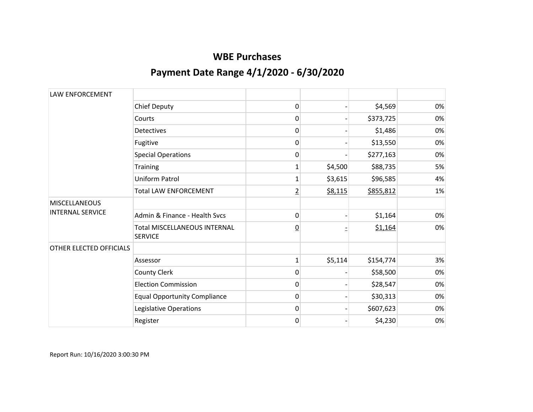| LAW ENFORCEMENT         |                                                       |                 |         |           |    |
|-------------------------|-------------------------------------------------------|-----------------|---------|-----------|----|
|                         | <b>Chief Deputy</b>                                   | 0               |         | \$4,569   | 0% |
|                         | Courts                                                | 0               |         | \$373,725 | 0% |
|                         | <b>Detectives</b>                                     | 0               |         | \$1,486   | 0% |
|                         | Fugitive                                              | 0               |         | \$13,550  | 0% |
|                         | <b>Special Operations</b>                             | 0               |         | \$277,163 | 0% |
|                         | <b>Training</b>                                       | 1               | \$4,500 | \$88,735  | 5% |
|                         | Uniform Patrol                                        | $\mathbf{1}$    | \$3,615 | \$96,585  | 4% |
|                         | <b>Total LAW ENFORCEMENT</b>                          | $\overline{2}$  | \$8,115 | \$855,812 | 1% |
| <b>MISCELLANEOUS</b>    |                                                       |                 |         |           |    |
| <b>INTERNAL SERVICE</b> | Admin & Finance - Health Sycs                         | 0               |         | \$1,164   | 0% |
|                         | <b>Total MISCELLANEOUS INTERNAL</b><br><b>SERVICE</b> | $\underline{0}$ |         | \$1,164   | 0% |
| OTHER ELECTED OFFICIALS |                                                       |                 |         |           |    |
|                         | Assessor                                              | $\mathbf{1}$    | \$5,114 | \$154,774 | 3% |
|                         | County Clerk                                          | 0               |         | \$58,500  | 0% |
|                         | <b>Election Commission</b>                            | 0               |         | \$28,547  | 0% |
|                         | <b>Equal Opportunity Compliance</b>                   | 0               |         | \$30,313  | 0% |
|                         | Legislative Operations                                | 0               |         | \$607,623 | 0% |
|                         | Register                                              | 0               |         | \$4,230   | 0% |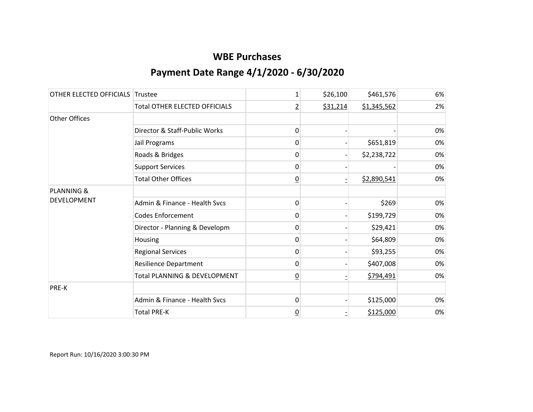| OTHER ELECTED OFFICIALS | Trustee                                 | 1              | \$26,100 | \$461,576   | 6% |
|-------------------------|-----------------------------------------|----------------|----------|-------------|----|
|                         | <b>Total OTHER ELECTED OFFICIALS</b>    | $\overline{2}$ | \$31,214 | \$1,345,562 | 2% |
| <b>Other Offices</b>    |                                         |                |          |             |    |
|                         | Director & Staff-Public Works           | 0              |          |             | 0% |
|                         | Jail Programs                           | 0              |          | \$651,819   | 0% |
|                         | Roads & Bridges                         | 0              |          | \$2,238,722 | 0% |
|                         | <b>Support Services</b>                 | 0              |          |             | 0% |
|                         | <b>Total Other Offices</b>              | $\overline{0}$ |          | \$2,890,541 | 0% |
| PLANNING &              |                                         |                |          |             |    |
| DEVELOPMENT             | Admin & Finance - Health Svcs           | 0              |          | \$269       | 0% |
|                         | <b>Codes Enforcement</b>                | 0              |          | \$199,729   | 0% |
|                         | Director - Planning & Developm          | 0              |          | \$29,421    | 0% |
|                         | Housing                                 | 0              |          | \$64,809    | 0% |
|                         | <b>Regional Services</b>                | 0              |          | \$93,255    | 0% |
|                         | <b>Resilience Department</b>            | $\mathbf{0}$   |          | \$407,008   | 0% |
|                         | <b>Total PLANNING &amp; DEVELOPMENT</b> | $\overline{0}$ |          | \$794,491   | 0% |
| PRE-K                   |                                         |                |          |             |    |
|                         | Admin & Finance - Health Svcs           | 0              |          | \$125,000   | 0% |
|                         | <b>Total PRE-K</b>                      | $\overline{0}$ |          | \$125,000   | 0% |